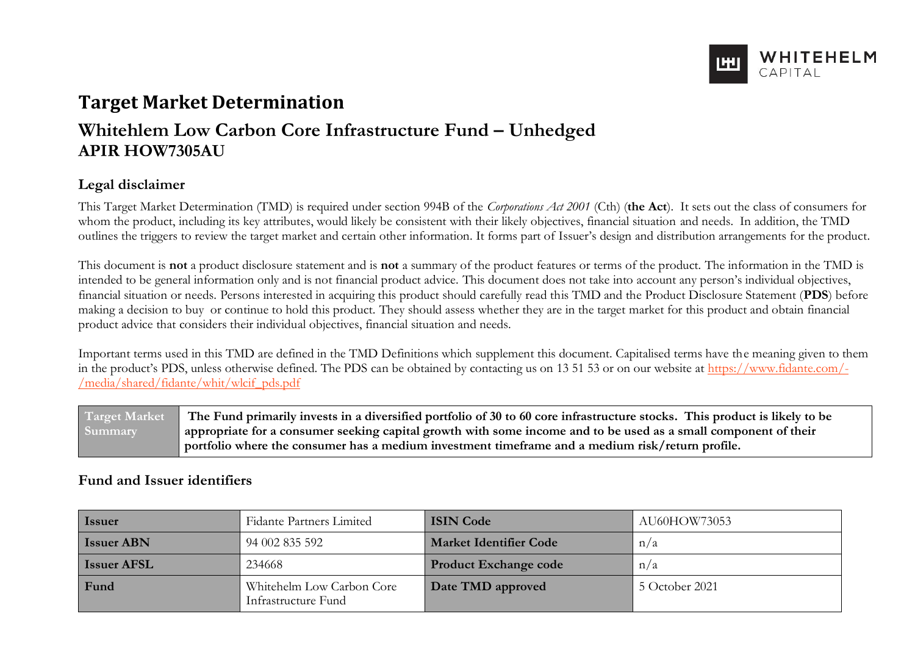

# **Target Market Determination**

# **Whitehlem Low Carbon Core Infrastructure Fund – Unhedged APIR HOW7305AU**

# **Legal disclaimer**

This Target Market Determination (TMD) is required under section 994B of the *Corporations Act 2001* (Cth) (**the Act**). It sets out the class of consumers for whom the product, including its key attributes, would likely be consistent with their likely objectives, financial situation and needs. In addition, the TMD outlines the triggers to review the target market and certain other information. It forms part of Issuer's design and distribution arrangements for the product.

This document is **not** a product disclosure statement and is **not** a summary of the product features or terms of the product. The information in the TMD is intended to be general information only and is not financial product advice. This document does not take into account any person's individual objectives, financial situation or needs. Persons interested in acquiring this product should carefully read this TMD and the Product Disclosure Statement (**PDS**) before making a decision to buy or continue to hold this product. They should assess whether they are in the target market for this product and obtain financial product advice that considers their individual objectives, financial situation and needs.

Important terms used in this TMD are defined in the TMD Definitions which supplement this document. Capitalised terms have the meaning given to them in the product's PDS, unless otherwise defined. The PDS can be obtained by contacting us on 13 51 53 or on our website at [https://www.fidante.com/-](https://www.fidante.com/-/media/shared/fidante/whit/wlcif_pds.pdf) [/media/shared/fidante/whit/wlcif\\_pds.pdf](https://www.fidante.com/-/media/shared/fidante/whit/wlcif_pds.pdf)

**Target Market Summary The Fund primarily invests in a diversified portfolio of 30 to 60 core infrastructure stocks. This product is likely to be appropriate for a consumer seeking capital growth with some income and to be used as a small component of their portfolio where the consumer has a medium investment timeframe and a medium risk/return profile.**

# **Fund and Issuer identifiers**

| Issuer             | <b>Fidante Partners Limited</b>                  | <b>ISIN Code</b>              | AU60HOW73053   |
|--------------------|--------------------------------------------------|-------------------------------|----------------|
| <b>Issuer ABN</b>  | 94 002 835 592                                   | <b>Market Identifier Code</b> | n/a            |
| <b>Issuer AFSL</b> | 234668                                           | <b>Product Exchange code</b>  | n/a            |
| Fund               | Whitehelm Low Carbon Core<br>Infrastructure Fund | Date TMD approved             | 5 October 2021 |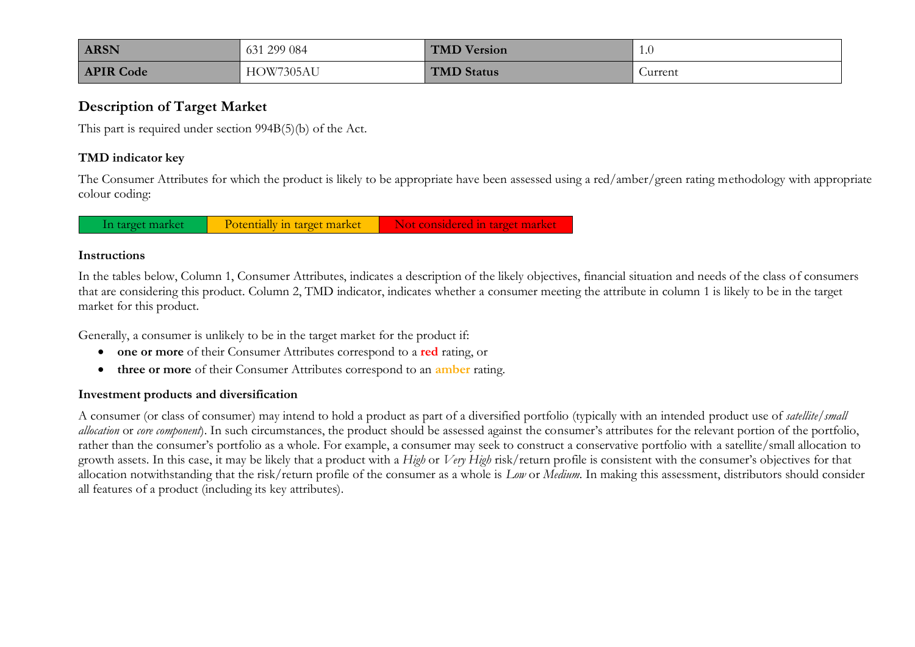| <b>ARSN</b>      | 631 299 084 | <b>TMD Version</b> | 1.0     |
|------------------|-------------|--------------------|---------|
| <b>APIR Code</b> | HOW7305AU   | TMD Status         | Jurrent |

## **Description of Target Market**

This part is required under section 994B(5)(b) of the Act.

## **TMD indicator key**

The Consumer Attributes for which the product is likely to be appropriate have been assessed using a red/amber/green rating methodology with appropriate colour coding:

In target market Potentially in target market Not considered in target market

#### **Instructions**

In the tables below, Column 1, Consumer Attributes, indicates a description of the likely objectives, financial situation and needs of the class of consumers that are considering this product. Column 2, TMD indicator, indicates whether a consumer meeting the attribute in column 1 is likely to be in the target market for this product.

Generally, a consumer is unlikely to be in the target market for the product if:

- **one or more** of their Consumer Attributes correspond to a **red** rating, or
- **three or more** of their Consumer Attributes correspond to an **amber** rating.

#### **Investment products and diversification**

A consumer (or class of consumer) may intend to hold a product as part of a diversified portfolio (typically with an intended product use of *satellite/small allocation* or *core component*). In such circumstances, the product should be assessed against the consumer's attributes for the relevant portion of the portfolio, rather than the consumer's portfolio as a whole. For example, a consumer may seek to construct a conservative portfolio with a satellite/small allocation to growth assets. In this case, it may be likely that a product with a *High* or *Very High* risk/return profile is consistent with the consumer's objectives for that allocation notwithstanding that the risk/return profile of the consumer as a whole is *Low* or *Medium*. In making this assessment, distributors should consider all features of a product (including its key attributes).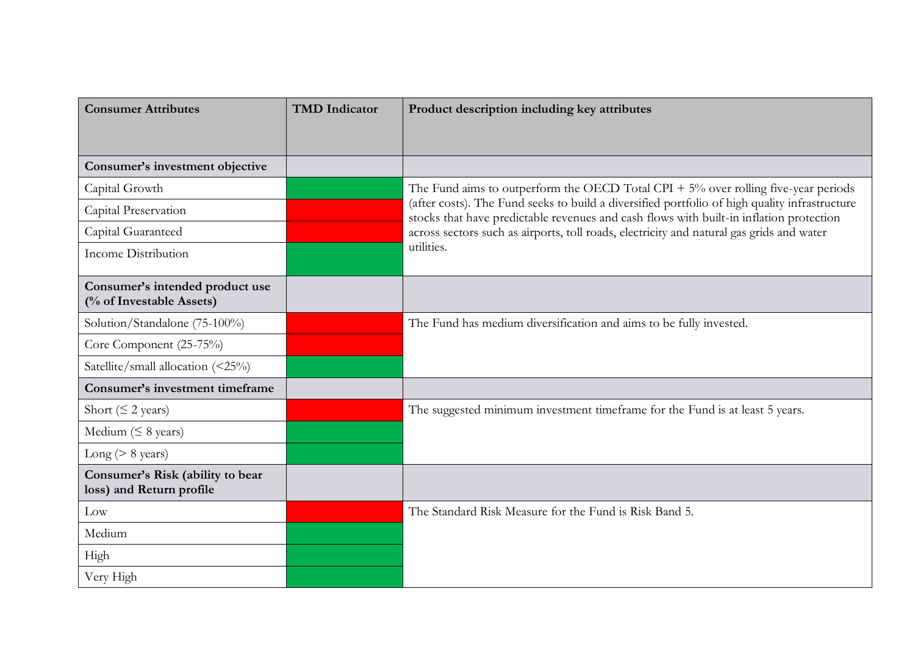| <b>Consumer Attributes</b>                                   | <b>TMD</b> Indicator | Product description including key attributes                                                                                                                                             |
|--------------------------------------------------------------|----------------------|------------------------------------------------------------------------------------------------------------------------------------------------------------------------------------------|
|                                                              |                      |                                                                                                                                                                                          |
| Consumer's investment objective                              |                      |                                                                                                                                                                                          |
| Capital Growth                                               |                      | The Fund aims to outperform the OECD Total CPI $+5\%$ over rolling five-year periods                                                                                                     |
| Capital Preservation                                         |                      | (after costs). The Fund seeks to build a diversified portfolio of high quality infrastructure<br>stocks that have predictable revenues and cash flows with built-in inflation protection |
| Capital Guaranteed                                           |                      | across sectors such as airports, toll roads, electricity and natural gas grids and water                                                                                                 |
| <b>Income Distribution</b>                                   |                      | utilities.                                                                                                                                                                               |
| Consumer's intended product use<br>(% of Investable Assets)  |                      |                                                                                                                                                                                          |
| Solution/Standalone (75-100%)                                |                      | The Fund has medium diversification and aims to be fully invested.                                                                                                                       |
| Core Component (25-75%)                                      |                      |                                                                                                                                                                                          |
| Satellite/small allocation (<25%)                            |                      |                                                                                                                                                                                          |
| <b>Consumer's investment timeframe</b>                       |                      |                                                                                                                                                                                          |
| Short ( $\leq$ 2 years)                                      |                      | The suggested minimum investment timeframe for the Fund is at least 5 years.                                                                                                             |
| Medium ( $\leq 8$ years)                                     |                      |                                                                                                                                                                                          |
| Long ( $> 8$ years)                                          |                      |                                                                                                                                                                                          |
| Consumer's Risk (ability to bear<br>loss) and Return profile |                      |                                                                                                                                                                                          |
| Low                                                          |                      | The Standard Risk Measure for the Fund is Risk Band 5.                                                                                                                                   |
| Medium                                                       |                      |                                                                                                                                                                                          |
| High                                                         |                      |                                                                                                                                                                                          |
| Very High                                                    |                      |                                                                                                                                                                                          |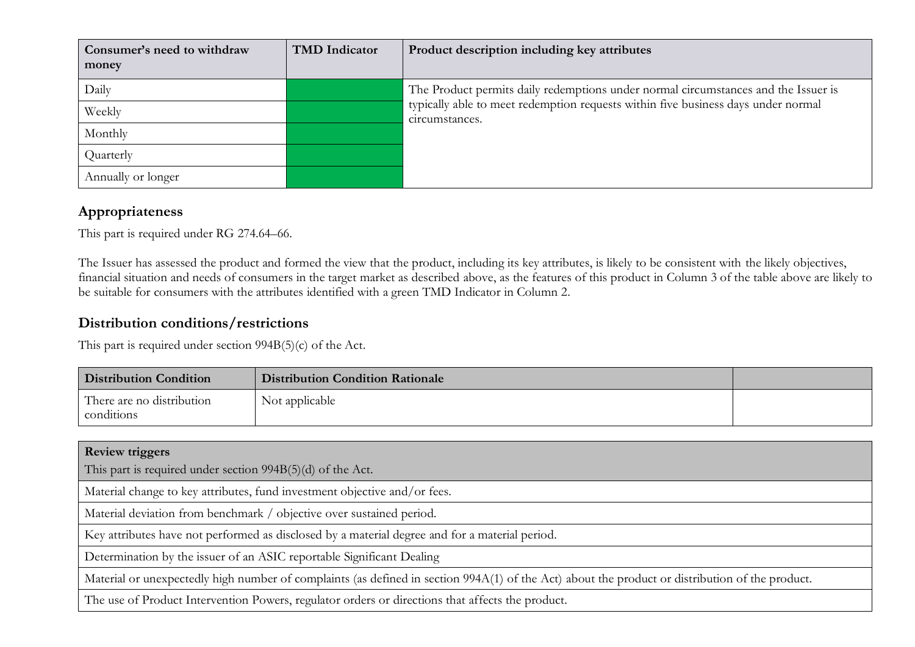| Consumer's need to withdraw<br>money | <b>TMD</b> Indicator | Product description including key attributes                                                        |
|--------------------------------------|----------------------|-----------------------------------------------------------------------------------------------------|
| Daily                                |                      | The Product permits daily redemptions under normal circumstances and the Issuer is                  |
| Weekly                               |                      | typically able to meet redemption requests within five business days under normal<br>circumstances. |
| Monthly                              |                      |                                                                                                     |
| Quarterly                            |                      |                                                                                                     |
| Annually or longer                   |                      |                                                                                                     |

# **Appropriateness**

This part is required under RG 274.64–66.

The Issuer has assessed the product and formed the view that the product, including its key attributes, is likely to be consistent with the likely objectives, financial situation and needs of consumers in the target market as described above, as the features of this product in Column 3 of the table above are likely to be suitable for consumers with the attributes identified with a green TMD Indicator in Column 2.

# **Distribution conditions/restrictions**

This part is required under section 994B(5)(c) of the Act.

| <b>Distribution Condition</b>           | <b>Distribution Condition Rationale</b> |  |
|-----------------------------------------|-----------------------------------------|--|
| There are no distribution<br>conditions | Not applicable                          |  |

**Review triggers** This part is required under section 994B(5)(d) of the Act. Material change to key attributes, fund investment objective and/or fees. Material deviation from benchmark / objective over sustained period. Key attributes have not performed as disclosed by a material degree and for a material period. Determination by the issuer of an ASIC reportable Significant Dealing Material or unexpectedly high number of complaints (as defined in section 994A(1) of the Act) about the product or distribution of the product. The use of Product Intervention Powers, regulator orders or directions that affects the product.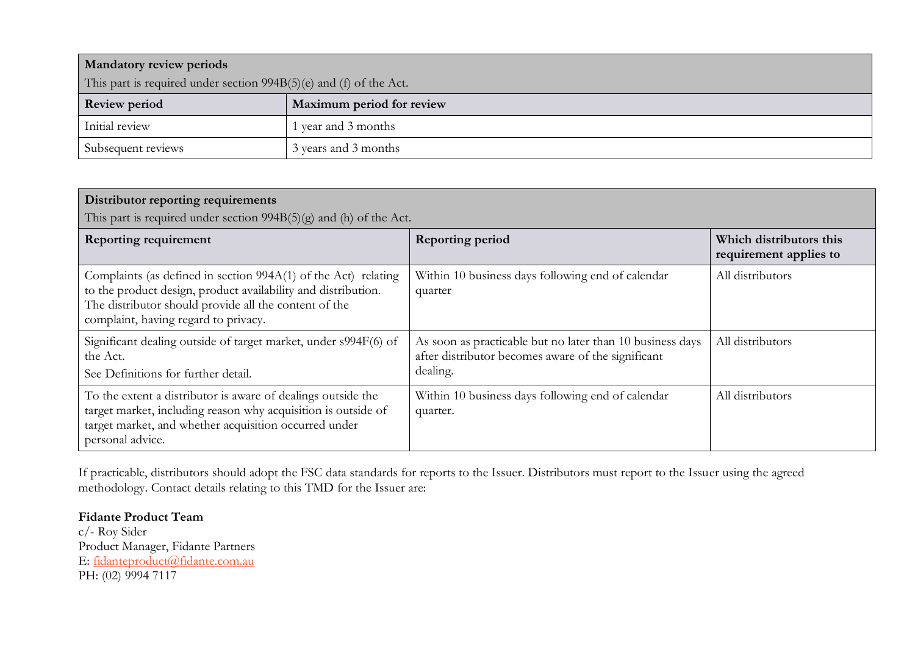| <b>Mandatory review periods</b>                                    |                           |  |
|--------------------------------------------------------------------|---------------------------|--|
| This part is required under section 994B(5)(e) and (f) of the Act. |                           |  |
| <b>Review period</b>                                               | Maximum period for review |  |
| Initial review                                                     | 1 year and 3 months       |  |
| Subsequent reviews                                                 | 3 years and 3 months      |  |

| Distributor reporting requirements<br>This part is required under section $994B(5)(g)$ and (h) of the Act.                                                                                                                       |                                                                                                                             |                                                   |  |
|----------------------------------------------------------------------------------------------------------------------------------------------------------------------------------------------------------------------------------|-----------------------------------------------------------------------------------------------------------------------------|---------------------------------------------------|--|
| <b>Reporting requirement</b>                                                                                                                                                                                                     | <b>Reporting period</b>                                                                                                     | Which distributors this<br>requirement applies to |  |
| Complaints (as defined in section 994A(1) of the Act) relating<br>to the product design, product availability and distribution.<br>The distributor should provide all the content of the<br>complaint, having regard to privacy. | Within 10 business days following end of calendar<br>quarter                                                                | All distributors                                  |  |
| Significant dealing outside of target market, under s994F(6) of<br>the Act.<br>See Definitions for further detail.                                                                                                               | As soon as practicable but no later than 10 business days<br>after distributor becomes aware of the significant<br>dealing. | All distributors                                  |  |
| To the extent a distributor is aware of dealings outside the<br>target market, including reason why acquisition is outside of<br>target market, and whether acquisition occurred under<br>personal advice.                       | Within 10 business days following end of calendar<br>quarter.                                                               | All distributors                                  |  |

If practicable, distributors should adopt the FSC data standards for reports to the Issuer. Distributors must report to the Issuer using the agreed methodology. Contact details relating to this TMD for the Issuer are:

**Fidante Product Team**  c/- Roy Sider Product Manager, Fidante Partners E: [fidanteproduct@fidante.com.au](mailto:fidanteproduct@fidante.com.au) PH: (02) 9994 7117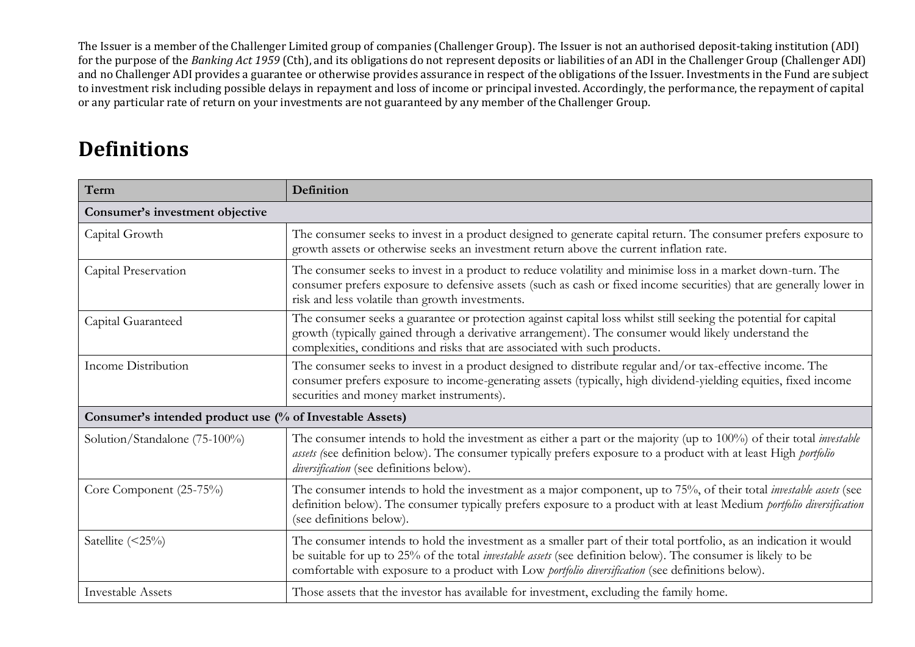The Issuer is a member of the Challenger Limited group of companies (Challenger Group). The Issuer is not an authorised deposit-taking institution (ADI) for the purpose of the *Banking Act 1959* (Cth), and its obligations do not represent deposits or liabilities of an ADI in the Challenger Group (Challenger ADI) and no Challenger ADI provides a guarantee or otherwise provides assurance in respect of the obligations of the Issuer. Investments in the Fund are subject to investment risk including possible delays in repayment and loss of income or principal invested. Accordingly, the performance, the repayment of capital or any particular rate of return on your investments are not guaranteed by any member of the Challenger Group.

# **Definitions**

| Term                                                     | Definition                                                                                                                                                                                                                                                                                                                                      |  |
|----------------------------------------------------------|-------------------------------------------------------------------------------------------------------------------------------------------------------------------------------------------------------------------------------------------------------------------------------------------------------------------------------------------------|--|
| Consumer's investment objective                          |                                                                                                                                                                                                                                                                                                                                                 |  |
| Capital Growth                                           | The consumer seeks to invest in a product designed to generate capital return. The consumer prefers exposure to<br>growth assets or otherwise seeks an investment return above the current inflation rate.                                                                                                                                      |  |
| Capital Preservation                                     | The consumer seeks to invest in a product to reduce volatility and minimise loss in a market down-turn. The<br>consumer prefers exposure to defensive assets (such as cash or fixed income securities) that are generally lower in<br>risk and less volatile than growth investments.                                                           |  |
| Capital Guaranteed                                       | The consumer seeks a guarantee or protection against capital loss whilst still seeking the potential for capital<br>growth (typically gained through a derivative arrangement). The consumer would likely understand the<br>complexities, conditions and risks that are associated with such products.                                          |  |
| Income Distribution                                      | The consumer seeks to invest in a product designed to distribute regular and/or tax-effective income. The<br>consumer prefers exposure to income-generating assets (typically, high dividend-yielding equities, fixed income<br>securities and money market instruments).                                                                       |  |
| Consumer's intended product use (% of Investable Assets) |                                                                                                                                                                                                                                                                                                                                                 |  |
| Solution/Standalone (75-100%)                            | The consumer intends to hold the investment as either a part or the majority (up to 100%) of their total <i>investable</i><br>assets (see definition below). The consumer typically prefers exposure to a product with at least High portfolio<br>diversification (see definitions below).                                                      |  |
| Core Component (25-75%)                                  | The consumer intends to hold the investment as a major component, up to 75%, of their total <i>investable assets</i> (see<br>definition below). The consumer typically prefers exposure to a product with at least Medium portfolio diversification<br>(see definitions below).                                                                 |  |
| Satellite $(\leq 25\%)$                                  | The consumer intends to hold the investment as a smaller part of their total portfolio, as an indication it would<br>be suitable for up to 25% of the total <i>investable assets</i> (see definition below). The consumer is likely to be<br>comfortable with exposure to a product with Low portfolio diversification (see definitions below). |  |
| <b>Investable Assets</b>                                 | Those assets that the investor has available for investment, excluding the family home.                                                                                                                                                                                                                                                         |  |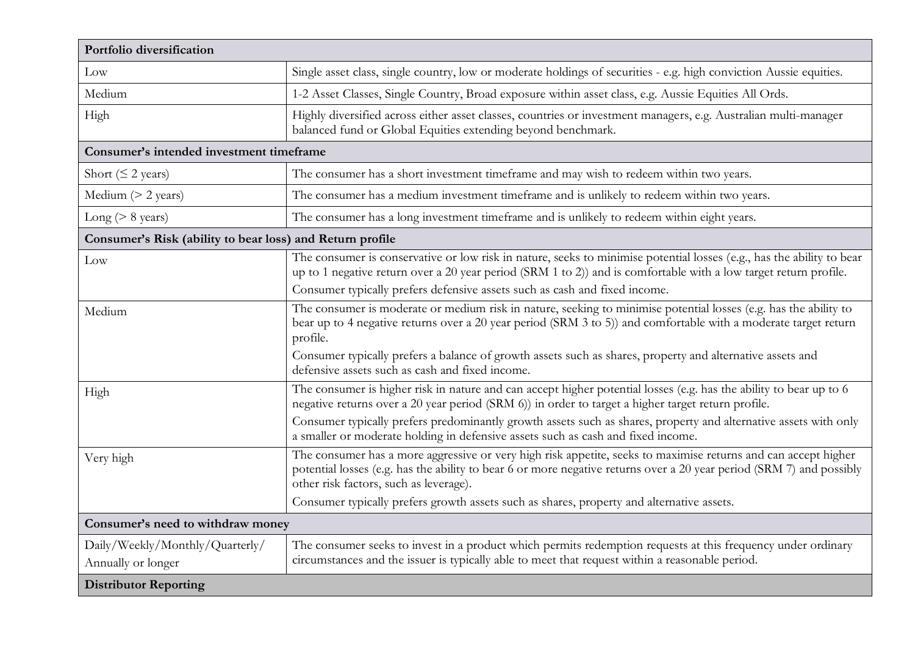| Portfolio diversification                                 |                                                                                                                                                                                                                                                                                                                         |  |
|-----------------------------------------------------------|-------------------------------------------------------------------------------------------------------------------------------------------------------------------------------------------------------------------------------------------------------------------------------------------------------------------------|--|
| Low                                                       | Single asset class, single country, low or moderate holdings of securities - e.g. high conviction Aussie equities.                                                                                                                                                                                                      |  |
| Medium                                                    | 1-2 Asset Classes, Single Country, Broad exposure within asset class, e.g. Aussie Equities All Ords.                                                                                                                                                                                                                    |  |
| High                                                      | Highly diversified across either asset classes, countries or investment managers, e.g. Australian multi-manager<br>balanced fund or Global Equities extending beyond benchmark.                                                                                                                                         |  |
| Consumer's intended investment timeframe                  |                                                                                                                                                                                                                                                                                                                         |  |
| Short ( $\leq$ 2 years)                                   | The consumer has a short investment timeframe and may wish to redeem within two years.                                                                                                                                                                                                                                  |  |
| Medium $(> 2$ years)                                      | The consumer has a medium investment timeframe and is unlikely to redeem within two years.                                                                                                                                                                                                                              |  |
| Long ( $> 8$ years)                                       | The consumer has a long investment timeframe and is unlikely to redeem within eight years.                                                                                                                                                                                                                              |  |
| Consumer's Risk (ability to bear loss) and Return profile |                                                                                                                                                                                                                                                                                                                         |  |
| Low                                                       | The consumer is conservative or low risk in nature, seeks to minimise potential losses (e.g., has the ability to bear<br>up to 1 negative return over a 20 year period (SRM 1 to 2)) and is comfortable with a low target return profile.<br>Consumer typically prefers defensive assets such as cash and fixed income. |  |
| Medium                                                    | The consumer is moderate or medium risk in nature, seeking to minimise potential losses (e.g. has the ability to<br>bear up to 4 negative returns over a 20 year period (SRM 3 to 5)) and comfortable with a moderate target return<br>profile.                                                                         |  |
|                                                           | Consumer typically prefers a balance of growth assets such as shares, property and alternative assets and<br>defensive assets such as cash and fixed income.                                                                                                                                                            |  |
| High                                                      | The consumer is higher risk in nature and can accept higher potential losses (e.g. has the ability to bear up to 6<br>negative returns over a 20 year period (SRM 6)) in order to target a higher target return profile.                                                                                                |  |
|                                                           | Consumer typically prefers predominantly growth assets such as shares, property and alternative assets with only<br>a smaller or moderate holding in defensive assets such as cash and fixed income.                                                                                                                    |  |
| Very high                                                 | The consumer has a more aggressive or very high risk appetite, seeks to maximise returns and can accept higher<br>potential losses (e.g. has the ability to bear 6 or more negative returns over a 20 year period (SRM 7) and possibly<br>other risk factors, such as leverage).                                        |  |
|                                                           | Consumer typically prefers growth assets such as shares, property and alternative assets.                                                                                                                                                                                                                               |  |
| Consumer's need to withdraw money                         |                                                                                                                                                                                                                                                                                                                         |  |
| Daily/Weekly/Monthly/Quarterly/                           | The consumer seeks to invest in a product which permits redemption requests at this frequency under ordinary                                                                                                                                                                                                            |  |
| Annually or longer                                        | circumstances and the issuer is typically able to meet that request within a reasonable period.                                                                                                                                                                                                                         |  |
| <b>Distributor Reporting</b>                              |                                                                                                                                                                                                                                                                                                                         |  |